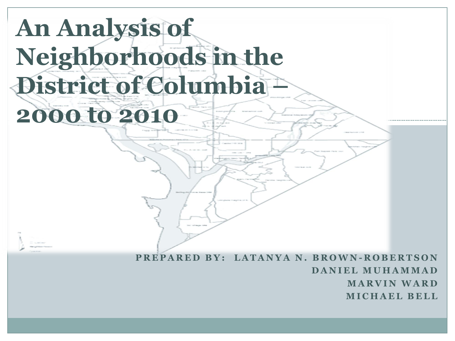# **An Analysis of Neighborhoods in the District of Columbia – 2000 to 2010**

**P R E P A R E D B Y : L A T A N Y A N . B R O W N - R O B E R T S O N D A N I E L M U H A M M A D M A R V I N W A R D M I C H A E L B E L L**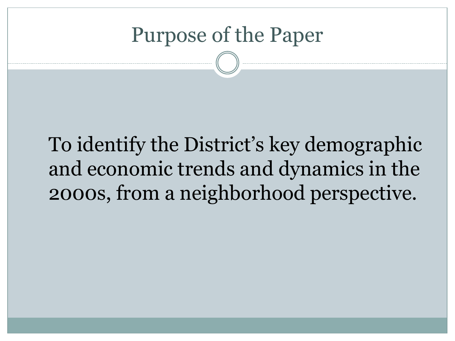#### Purpose of the Paper

## To identify the District's key demographic and economic trends and dynamics in the 2000s, from a neighborhood perspective.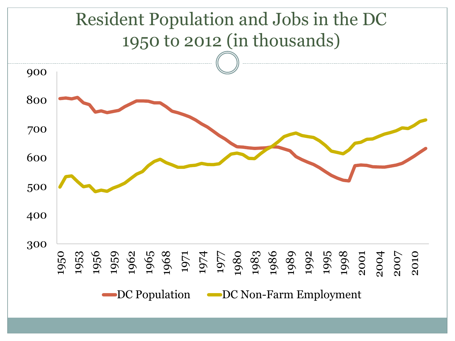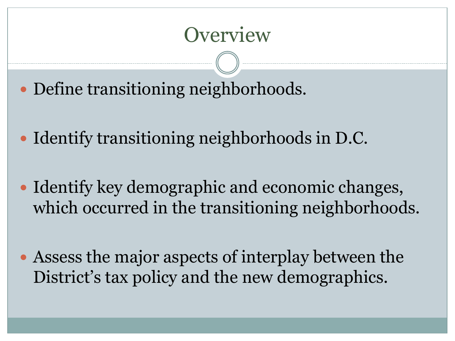#### **Overview**

- Define transitioning neighborhoods.
- Identify transitioning neighborhoods in D.C.
- Identify key demographic and economic changes, which occurred in the transitioning neighborhoods.
- Assess the major aspects of interplay between the District's tax policy and the new demographics.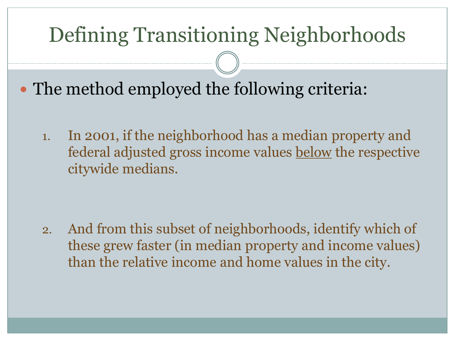## Defining Transitioning Neighborhoods

- The method employed the following criteria:
	- 1. In 2001, if the neighborhood has a median property and federal adjusted gross income values below the respective citywide medians.

2. And from this subset of neighborhoods, identify which of these grew faster (in median property and income values) than the relative income and home values in the city.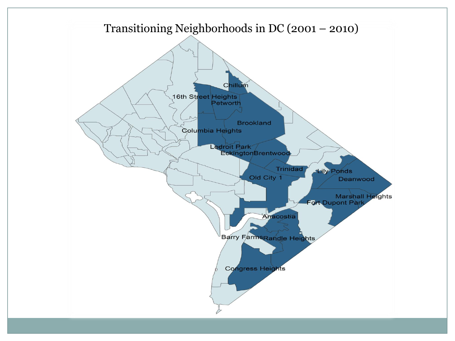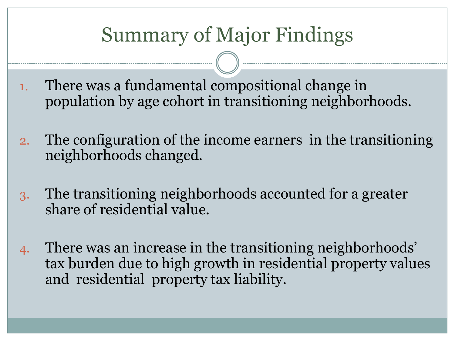### Summary of Major Findings

- 1. There was a fundamental compositional change in population by age cohort in transitioning neighborhoods.
- 2. The configuration of the income earners in the transitioning neighborhoods changed.
- 3. The transitioning neighborhoods accounted for a greater share of residential value.
- 4. There was an increase in the transitioning neighborhoods' tax burden due to high growth in residential property values and residential property tax liability.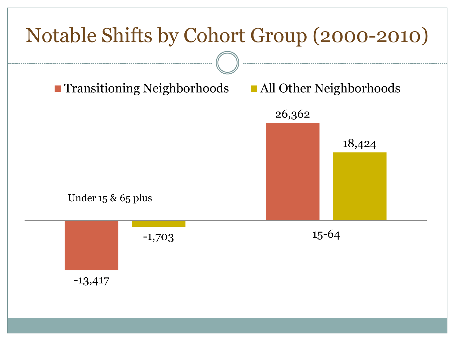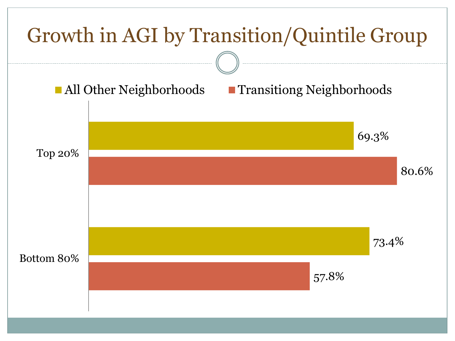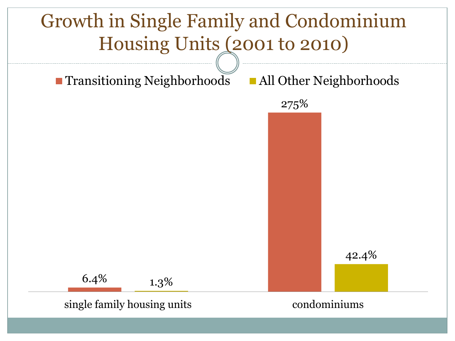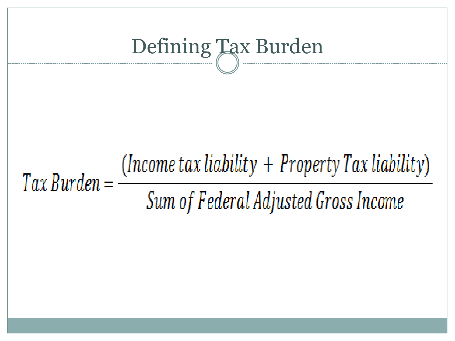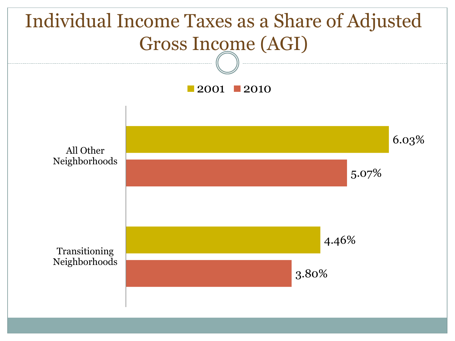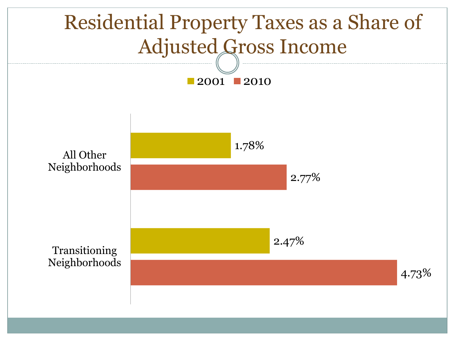